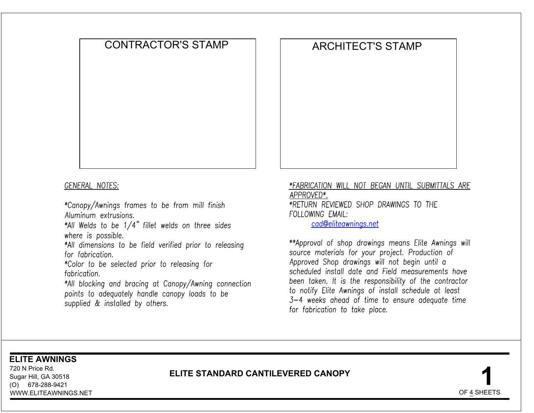# CONTRACTOR'S STAMP ARCHITECT'S STAMP **1 CONTRACTOR'S STAMP**<br> **1 ARCHITECT'S STAMP**<br> **1 ELITE CONTRACTOR'S ELITE AWNER (2008)**<br> **1 Controlling**<br> **1 Controlling**<br> **1 Controlling**<br> **1 Controlling**<br> **1 Controlling**<br> **1 Controlling**<br> **1 Cont**

For torneoration.<br>
Folior to be selected prior to releasing for<br>
for the selected prior to releasing for<br>
for the blocking and bracing at Canopy/Awning connection<br>  $*Al$  blocking ond bracing at Canopy/Awning connection<br>  $*Al$ 

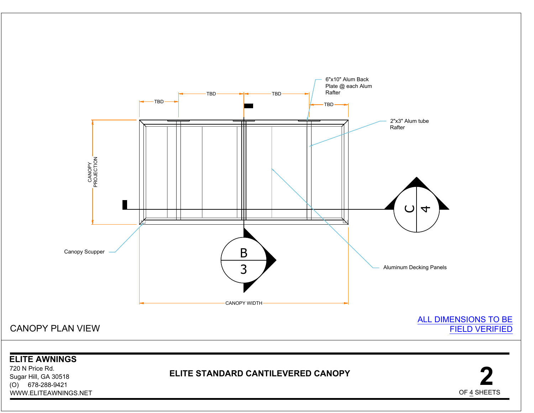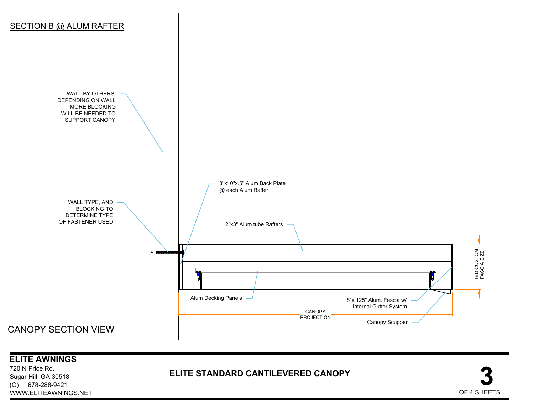